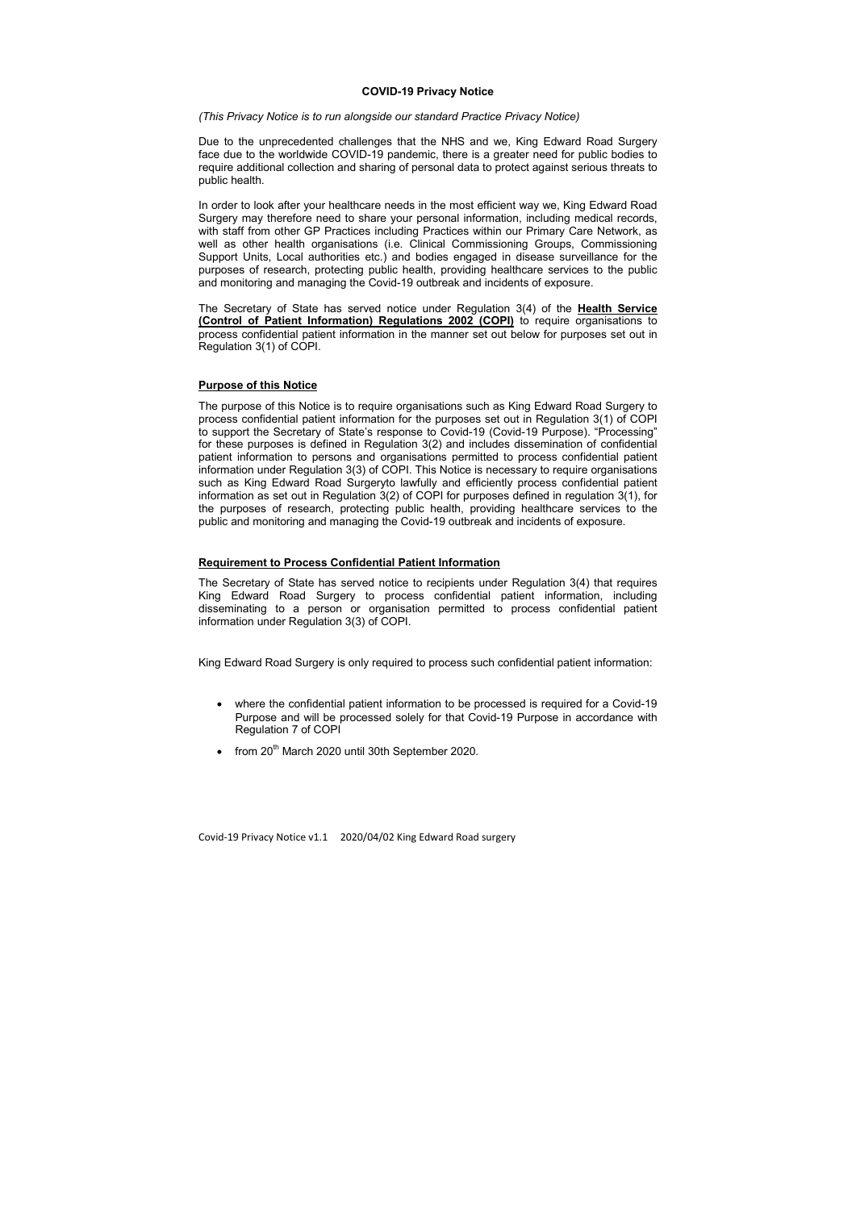#### COVID-19 Privacy Notice

(This Privacy Notice is to run alongside our standard Practice Privacy Notice)

Due to the unprecedented challenges that the NHS and we, King Edward Road Surgery face due to the worldwide COVID-19 pandemic, there is a greater need for public bodies to require additional collection and sharing of personal data to protect against serious threats to public health.

The Secretary of State has served notice under Regulation 3(4) of the **Health Service** (Control of Patient Information) Regulations 2002 (COPI) to require organisations to process confidential patient information in the manner set out below for purposes set out in Regulation 3(1) of COPI.

In order to look after your healthcare needs in the most efficient way we, King Edward Road Surgery may therefore need to share your personal information, including medical records, with staff from other GP Practices including Practices within our Primary Care Network, as well as other health organisations (i.e. Clinical Commissioning Groups, Commissioning Support Units, Local authorities etc.) and bodies engaged in disease surveillance for the purposes of research, protecting public health, providing healthcare services to the public and monitoring and managing the Covid-19 outbreak and incidents of exposure.

- where the confidential patient information to be processed is required for a Covid-19 Purpose and will be processed solely for that Covid-19 Purpose in accordance with Regulation 7 of COPI
- from  $20<sup>th</sup>$  March 2020 until 30th September 2020.

#### Purpose of this Notice

The purpose of this Notice is to require organisations such as King Edward Road Surgery to process confidential patient information for the purposes set out in Regulation 3(1) of COPI to support the Secretary of State's response to Covid-19 (Covid-19 Purpose). "Processing" for these purposes is defined in Regulation 3(2) and includes dissemination of confidential patient information to persons and organisations permitted to process confidential patient information under Regulation 3(3) of COPI. This Notice is necessary to require organisations such as King Edward Road Surgeryto lawfully and efficiently process confidential patient information as set out in Regulation 3(2) of COPI for purposes defined in regulation 3(1), for the purposes of research, protecting public health, providing healthcare services to the public and monitoring and managing the Covid-19 outbreak and incidents of exposure.

# Requirement to Process Confidential Patient Information

The Secretary of State has served notice to recipients under Regulation 3(4) that requires King Edward Road Surgery to process confidential patient information, including disseminating to a person or organisation permitted to process confidential patient information under Regulation 3(3) of COPI.

King Edward Road Surgery is only required to process such confidential patient information: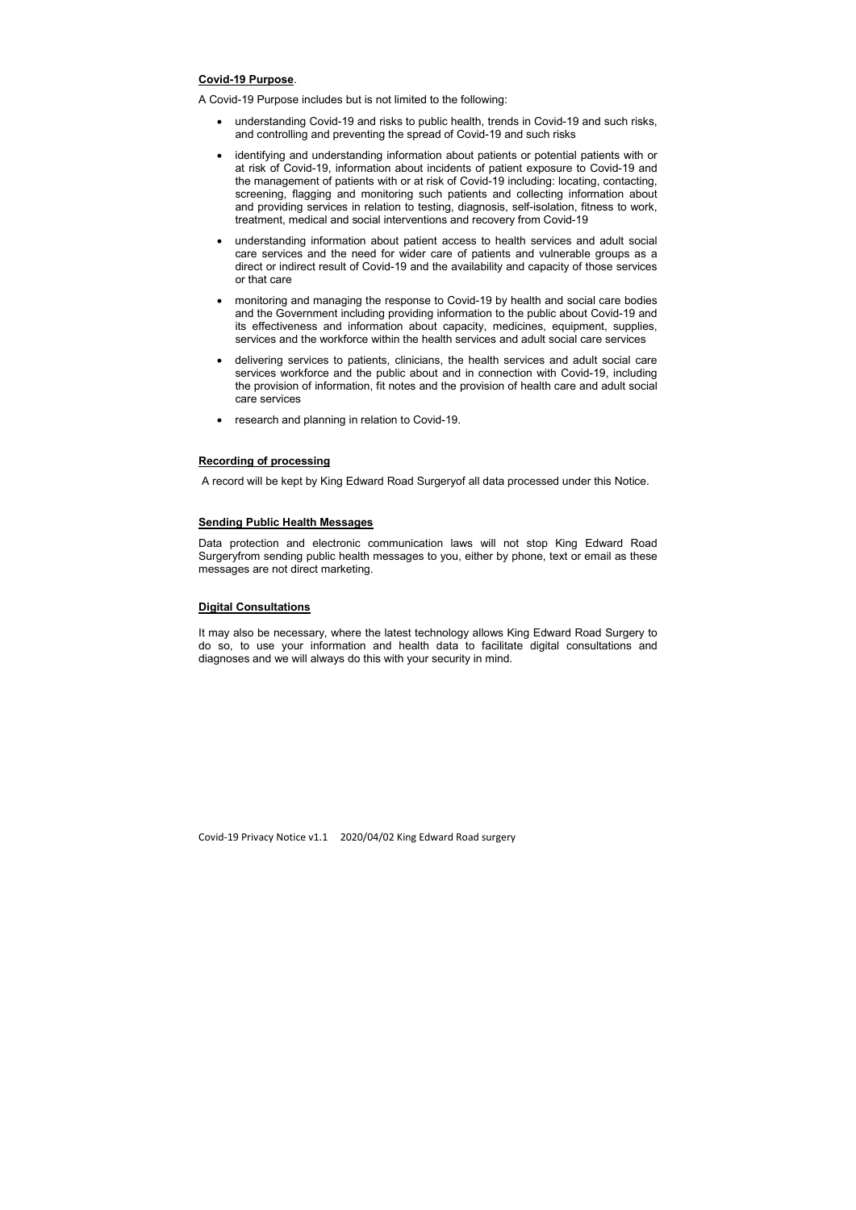#### Covid-19 Purpose.

- understanding Covid-19 and risks to public health, trends in Covid-19 and such risks, and controlling and preventing the spread of Covid-19 and such risks
- identifying and understanding information about patients or potential patients with or at risk of Covid-19, information about incidents of patient exposure to Covid-19 and the management of patients with or at risk of Covid-19 including: locating, contacting, screening, flagging and monitoring such patients and collecting information about and providing services in relation to testing, diagnosis, self-isolation, fitness to work, treatment, medical and social interventions and recovery from Covid-19
- understanding information about patient access to health services and adult social care services and the need for wider care of patients and vulnerable groups as a direct or indirect result of Covid-19 and the availability and capacity of those services or that care
- monitoring and managing the response to Covid-19 by health and social care bodies and the Government including providing information to the public about Covid-19 and its effectiveness and information about capacity, medicines, equipment, supplies, services and the workforce within the health services and adult social care services
- delivering services to patients, clinicians, the health services and adult social care services workforce and the public about and in connection with Covid-19, including the provision of information, fit notes and the provision of health care and adult social care services
- research and planning in relation to Covid-19.

A Covid-19 Purpose includes but is not limited to the following:

## Recording of processing

A record will be kept by King Edward Road Surgeryof all data processed under this Notice.

# Sending Public Health Messages

Data protection and electronic communication laws will not stop King Edward Road Surgeryfrom sending public health messages to you, either by phone, text or email as these messages are not direct marketing.

# Digital Consultations

It may also be necessary, where the latest technology allows King Edward Road Surgery to do so, to use your information and health data to facilitate digital consultations and diagnoses and we will always do this with your security in mind.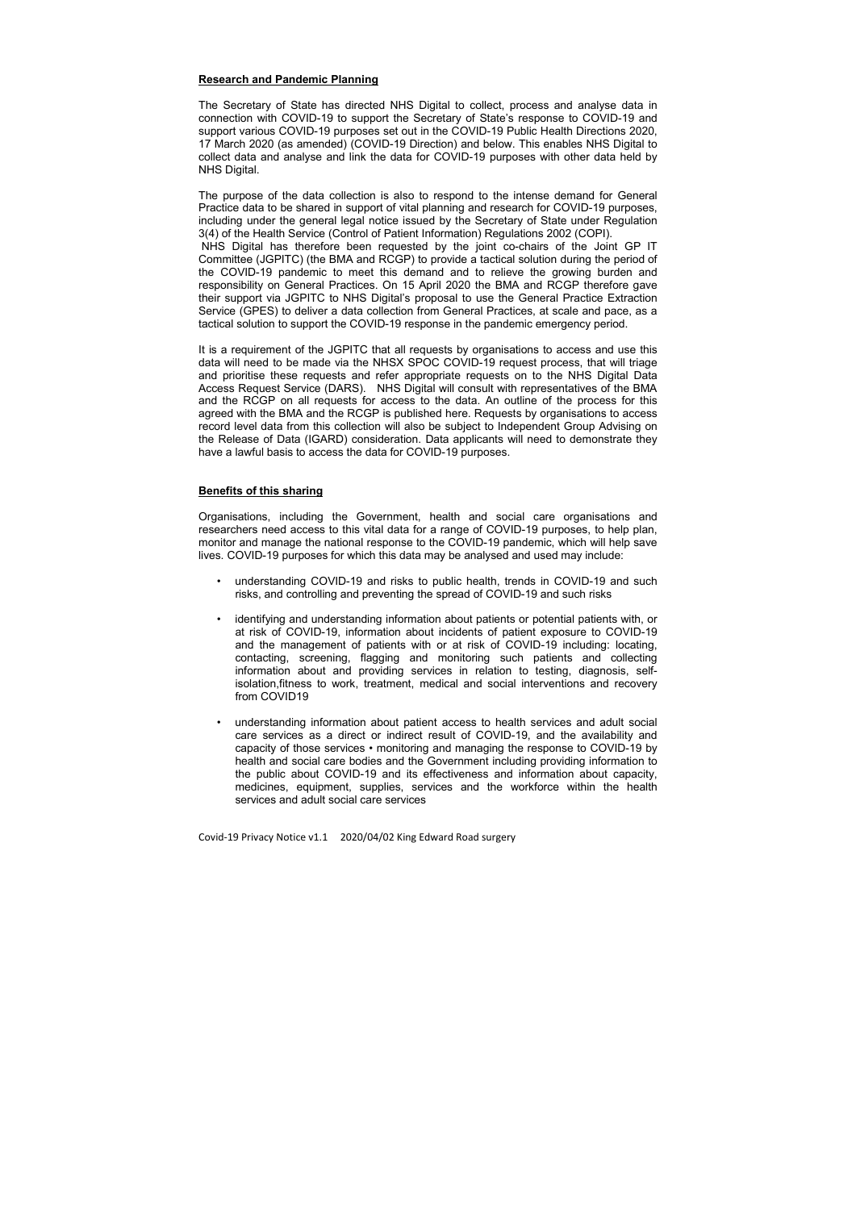# Research and Pandemic Planning

The Secretary of State has directed NHS Digital to collect, process and analyse data in connection with COVID-19 to support the Secretary of State's response to COVID-19 and support various COVID-19 purposes set out in the COVID-19 Public Health Directions 2020, 17 March 2020 (as amended) (COVID-19 Direction) and below. This enables NHS Digital to collect data and analyse and link the data for COVID-19 purposes with other data held by NHS Digital.

The purpose of the data collection is also to respond to the intense demand for General Practice data to be shared in support of vital planning and research for COVID-19 purposes, including under the general legal notice issued by the Secretary of State under Regulation 3(4) of the Health Service (Control of Patient Information) Regulations 2002 (COPI). NHS Digital has therefore been requested by the joint co-chairs of the Joint GP IT Committee (JGPITC) (the BMA and RCGP) to provide a tactical solution during the period of the COVID-19 pandemic to meet this demand and to relieve the growing burden and responsibility on General Practices. On 15 April 2020 the BMA and RCGP therefore gave their support via JGPITC to NHS Digital's proposal to use the General Practice Extraction Service (GPES) to deliver a data collection from General Practices, at scale and pace, as a tactical solution to support the COVID-19 response in the pandemic emergency period.

It is a requirement of the JGPITC that all requests by organisations to access and use this data will need to be made via the NHSX SPOC COVID-19 request process, that will triage and prioritise these requests and refer appropriate requests on to the NHS Digital Data Access Request Service (DARS). NHS Digital will consult with representatives of the BMA and the RCGP on all requests for access to the data. An outline of the process for this agreed with the BMA and the RCGP is published here. Requests by organisations to access record level data from this collection will also be subject to Independent Group Advising on the Release of Data (IGARD) consideration. Data applicants will need to demonstrate they have a lawful basis to access the data for COVID-19 purposes.

# Benefits of this sharing

Organisations, including the Government, health and social care organisations and researchers need access to this vital data for a range of COVID-19 purposes, to help plan, monitor and manage the national response to the COVID-19 pandemic, which will help save lives. COVID-19 purposes for which this data may be analysed and used may include:

- understanding COVID-19 and risks to public health, trends in COVID-19 and such risks, and controlling and preventing the spread of COVID-19 and such risks
- identifying and understanding information about patients or potential patients with, or at risk of COVID-19, information about incidents of patient exposure to COVID-19 and the management of patients with or at risk of COVID-19 including: locating, contacting, screening, flagging and monitoring such patients and collecting information about and providing services in relation to testing, diagnosis, selfisolation,fitness to work, treatment, medical and social interventions and recovery from COVID19
- understanding information about patient access to health services and adult social care services as a direct or indirect result of COVID-19, and the availability and capacity of those services • monitoring and managing the response to COVID-19 by health and social care bodies and the Government including providing information to the public about COVID-19 and its effectiveness and information about capacity, medicines, equipment, supplies, services and the workforce within the health services and adult social care services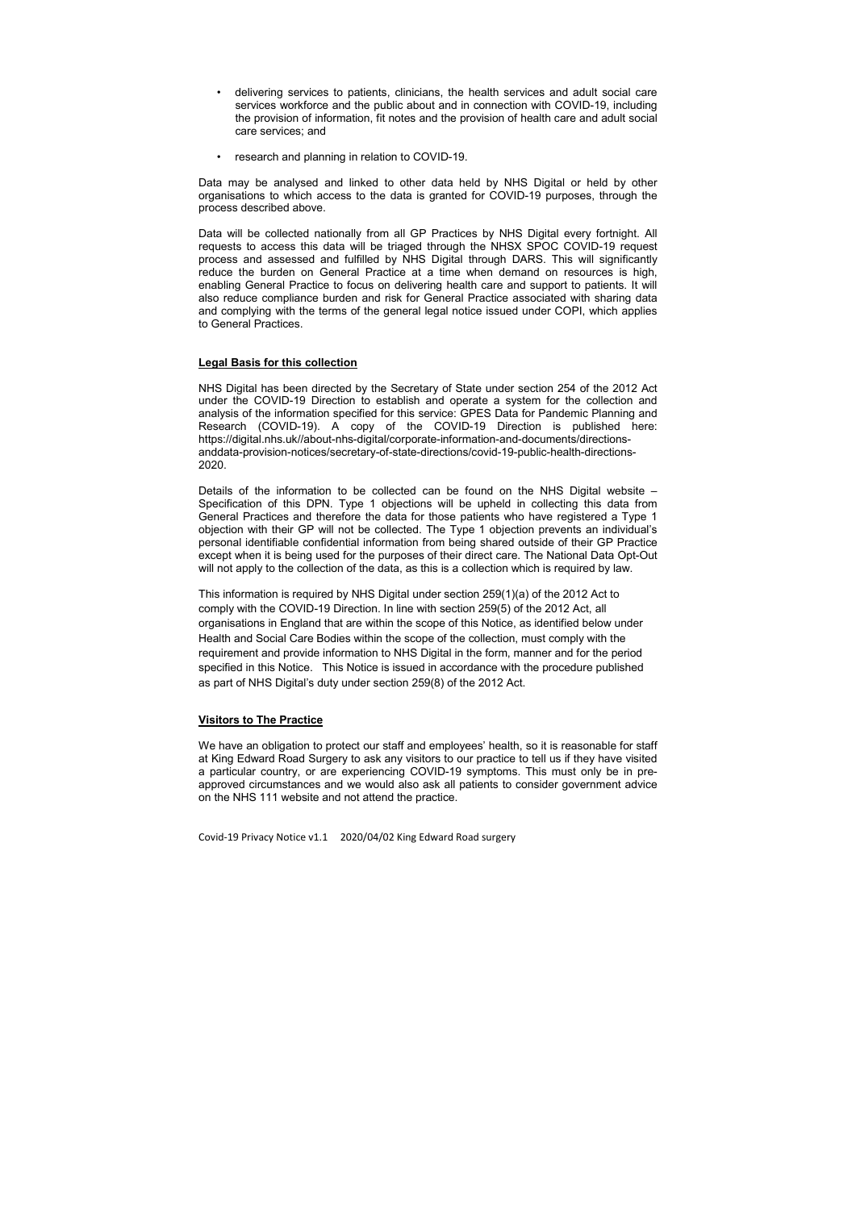- delivering services to patients, clinicians, the health services and adult social care services workforce and the public about and in connection with COVID-19, including the provision of information, fit notes and the provision of health care and adult social care services; and
- research and planning in relation to COVID-19.

Data may be analysed and linked to other data held by NHS Digital or held by other organisations to which access to the data is granted for COVID-19 purposes, through the process described above.

Data will be collected nationally from all GP Practices by NHS Digital every fortnight. All requests to access this data will be triaged through the NHSX SPOC COVID-19 request process and assessed and fulfilled by NHS Digital through DARS. This will significantly reduce the burden on General Practice at a time when demand on resources is high, enabling General Practice to focus on delivering health care and support to patients. It will also reduce compliance burden and risk for General Practice associated with sharing data and complying with the terms of the general legal notice issued under COPI, which applies to General Practices.

Details of the information to be collected can be found on the NHS Digital website  $-$ Specification of this DPN. Type 1 objections will be upheld in collecting this data from General Practices and therefore the data for those patients who have registered a Type 1 objection with their GP will not be collected. The Type 1 objection prevents an individual's personal identifiable confidential information from being shared outside of their GP Practice except when it is being used for the purposes of their direct care. The National Data Opt-Out will not apply to the collection of the data, as this is a collection which is required by law.

## Legal Basis for this collection

NHS Digital has been directed by the Secretary of State under section 254 of the 2012 Act under the COVID-19 Direction to establish and operate a system for the collection and analysis of the information specified for this service: GPES Data for Pandemic Planning and Research (COVID-19). A copy of the COVID-19 Direction is published here: https://digital.nhs.uk//about-nhs-digital/corporate-information-and-documents/directionsanddata-provision-notices/secretary-of-state-directions/covid-19-public-health-directions-2020.

This information is required by NHS Digital under section 259(1)(a) of the 2012 Act to comply with the COVID-19 Direction. In line with section 259(5) of the 2012 Act, all organisations in England that are within the scope of this Notice, as identified below under Health and Social Care Bodies within the scope of the collection, must comply with the requirement and provide information to NHS Digital in the form, manner and for the period specified in this Notice. This Notice is issued in accordance with the procedure published as part of NHS Digital's duty under section 259(8) of the 2012 Act.

## Visitors to The Practice

We have an obligation to protect our staff and employees' health, so it is reasonable for staff at King Edward Road Surgery to ask any visitors to our practice to tell us if they have visited a particular country, or are experiencing COVID-19 symptoms. This must only be in preapproved circumstances and we would also ask all patients to consider government advice on the NHS 111 website and not attend the practice.